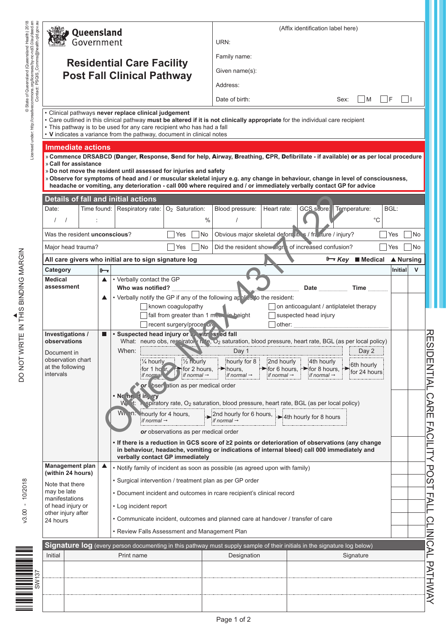| Queensland                                                                        | (Affix identification label here)                                                                                                                                                                                                                                                                                                                                                                                                                                                                                                                             | URN:                    |  |  |
|-----------------------------------------------------------------------------------|---------------------------------------------------------------------------------------------------------------------------------------------------------------------------------------------------------------------------------------------------------------------------------------------------------------------------------------------------------------------------------------------------------------------------------------------------------------------------------------------------------------------------------------------------------------|-------------------------|--|--|
| Government                                                                        |                                                                                                                                                                                                                                                                                                                                                                                                                                                                                                                                                               |                         |  |  |
|                                                                                   | Family name:                                                                                                                                                                                                                                                                                                                                                                                                                                                                                                                                                  |                         |  |  |
|                                                                                   | <b>Residential Care Facility</b><br>Given name(s):                                                                                                                                                                                                                                                                                                                                                                                                                                                                                                            |                         |  |  |
|                                                                                   | <b>Post Fall Clinical Pathway</b><br>Address:                                                                                                                                                                                                                                                                                                                                                                                                                                                                                                                 |                         |  |  |
|                                                                                   | $\vert M \vert$ $\vert$ F<br>Date of birth:<br>Sex:                                                                                                                                                                                                                                                                                                                                                                                                                                                                                                           | $\Box$                  |  |  |
|                                                                                   |                                                                                                                                                                                                                                                                                                                                                                                                                                                                                                                                                               |                         |  |  |
|                                                                                   | • Clinical pathways never replace clinical judgement<br>• Care outlined in this clinical pathway must be altered if it is not clinically appropriate for the individual care recipient<br>• This pathway is to be used for any care recipient who has had a fall<br>• V indicates a variance from the pathway, document in clinical notes                                                                                                                                                                                                                     |                         |  |  |
| <b>Immediate actions</b><br>» Call for assistance                                 | » Commence DRSABCD (Danger, Response, Send for help, Airway, Breathing, CPR, Defibrillate - if available) or as per local procedure<br>» Do not move the resident until assessed for injuries and safety<br>» Observe for symptoms of head and / or muscular skeletal injury e.g. any change in behaviour, change in level of consciousness,<br>headache or vomiting, any deterioration - call 000 where required and / or immediately verbally contact GP for advice                                                                                         |                         |  |  |
|                                                                                   | <b>Details of fall and initial actions</b>                                                                                                                                                                                                                                                                                                                                                                                                                                                                                                                    |                         |  |  |
| Date:<br>$\prime$<br>$\prime$                                                     | Time found:   Respiratory rate: $O_2$ Saturation:<br>GCS score: Temperature:<br>Blood pressure:<br>Heart rate:<br>$^{\circ}C$<br>$\frac{0}{0}$                                                                                                                                                                                                                                                                                                                                                                                                                | BGL:                    |  |  |
| Was the resident unconscious?                                                     | Obvious major skeletal deform it. s / fr. zture / injury?<br>No<br>Yes                                                                                                                                                                                                                                                                                                                                                                                                                                                                                        | <b>No</b><br>Yes        |  |  |
| Major head trauma?                                                                | Did the resident show ugn of increased confusion?<br>Yes<br>No.                                                                                                                                                                                                                                                                                                                                                                                                                                                                                               | <b>No</b><br>Yes        |  |  |
|                                                                                   | $\mathcal{F}$ Key Medical<br>All care givers who initial are to sign signature log                                                                                                                                                                                                                                                                                                                                                                                                                                                                            | ▲ Nursing               |  |  |
| Category                                                                          | $\theta \rightarrow$                                                                                                                                                                                                                                                                                                                                                                                                                                                                                                                                          | Initial<br>$\mathsf{V}$ |  |  |
| <b>Medical</b>                                                                    | • Verbally contact the GP<br>▲                                                                                                                                                                                                                                                                                                                                                                                                                                                                                                                                |                         |  |  |
| assessment                                                                        | Who was notified?<br>Time<br>Date<br>• Verbally notify the GP if any of the following applies to the resident:<br>▲                                                                                                                                                                                                                                                                                                                                                                                                                                           |                         |  |  |
| Investigations /                                                                  | known coagulopathy<br>on anticoagulant / antiplatelet therapy<br>fall from greater than 1 money in height<br>suspected head injury<br>recent surgery/procer are<br>other:<br>. Suspected head injury or with issed fall                                                                                                                                                                                                                                                                                                                                       |                         |  |  |
| observations<br>Document in<br>observation chart<br>at the following<br>intervals | What: neuro obs, respirator (r. e, O <sub>2</sub> saturation, blood pressure, heart rate, BGL (as per local policy)<br>When:<br>Day 1<br>Day 2<br>1/ <sub>2</sub> hourly<br>$\frac{1}{4}$ hourly<br>hourly for 8<br>2nd hourly<br>4th hourly<br>6th hourly<br>for 1 ho $(r, )$<br>$\blacksquare$ for 2 hours.<br>$\rightarrow$ hours,<br>$\blacktriangleright$ for 6 hours,<br>for 8 hours,<br>for 24 hours<br>if normal<br>if normal $\rightarrow$<br>if normal $\rightarrow$<br>if normal $\rightarrow$<br>if normal-<br>or bser ation as per medical order |                         |  |  |
|                                                                                   | . No ne - in, vry<br>W. it: Nepiratory rate, O <sub>2</sub> saturation, blood pressure, heart rate, BGL (as per local policy)<br>With the hourly for 4 hours,<br>2nd hourly for 6 hours,<br>Ath hourly for 8 hours<br>if normal $\rightarrow$<br>if normal $\rightarrow$<br>or observations as per medical order<br>• If there is a reduction in GCS score of $\geq 2$ points or deterioration of observations (any change<br>in behaviour, headache, vomiting or indications of internal bleed) call 000 immediately and<br>verbally contact GP immediately  |                         |  |  |
| <b>Management plan</b>                                                            | $\blacktriangle$<br>• Notify family of incident as soon as possible (as agreed upon with family)                                                                                                                                                                                                                                                                                                                                                                                                                                                              |                         |  |  |
| (within 24 hours)<br>Note that there                                              | • Surgical intervention / treatment plan as per GP order                                                                                                                                                                                                                                                                                                                                                                                                                                                                                                      |                         |  |  |
| may be late                                                                       | • Document incident and outcomes in rcare recipient's clinical record                                                                                                                                                                                                                                                                                                                                                                                                                                                                                         |                         |  |  |
| manifestations<br>of head injury or                                               | • Log incident report                                                                                                                                                                                                                                                                                                                                                                                                                                                                                                                                         |                         |  |  |
| other injury after<br>24 hours                                                    | • Communicate incident, outcomes and planned care at handover / transfer of care                                                                                                                                                                                                                                                                                                                                                                                                                                                                              |                         |  |  |
|                                                                                   | • Review Falls Assessment and Management Plan                                                                                                                                                                                                                                                                                                                                                                                                                                                                                                                 |                         |  |  |
|                                                                                   |                                                                                                                                                                                                                                                                                                                                                                                                                                                                                                                                                               |                         |  |  |
|                                                                                   | Signature log (every person documenting in this pathway must supply sample of their initials in the signature log below)                                                                                                                                                                                                                                                                                                                                                                                                                                      |                         |  |  |
| Initial                                                                           | Print name<br>Designation<br>Signature                                                                                                                                                                                                                                                                                                                                                                                                                                                                                                                        |                         |  |  |
|                                                                                   |                                                                                                                                                                                                                                                                                                                                                                                                                                                                                                                                                               |                         |  |  |
|                                                                                   |                                                                                                                                                                                                                                                                                                                                                                                                                                                                                                                                                               |                         |  |  |
|                                                                                   |                                                                                                                                                                                                                                                                                                                                                                                                                                                                                                                                                               |                         |  |  |
|                                                                                   |                                                                                                                                                                                                                                                                                                                                                                                                                                                                                                                                                               |                         |  |  |

 $v3.00 - 10/2018$ 



Page 1 of 2